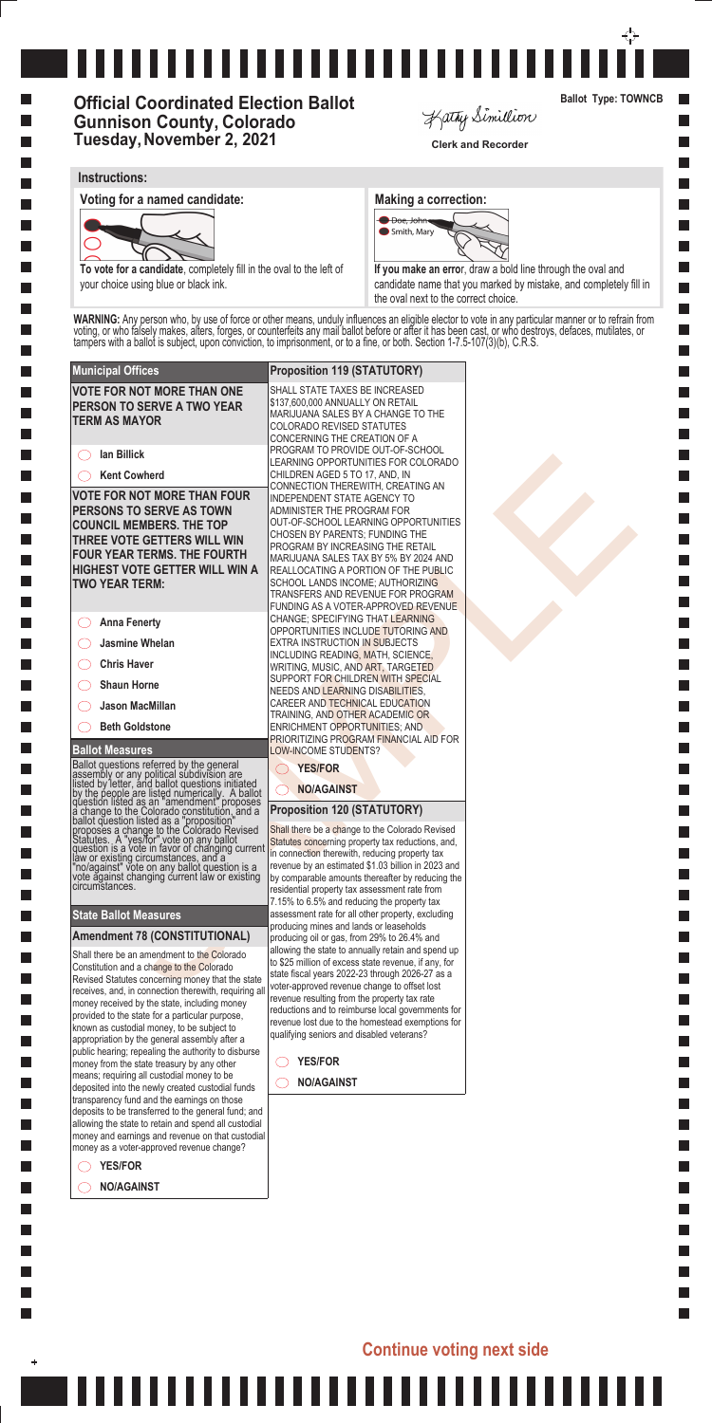**Ballot Measures**

Ballot questions referred by the general assembly or any political subdivision are listed by letter, and ballot questions initiated by the people are listed numerically. A ballot question listed as an "amendment" proposes a change to the Colorado constitution, and a ballot question listed as a "proposition" proposes a change to the Colorado Revised Statutes. A "yes/for" vote on any ballot question is a vote in favor of changing current law or existing circumstances, and a "no/against" vote on any ballot question is a vote against changing current law or existing circumstances.

### **Municipal Offices Proposition 119 (STATUTORY) VOTE FOR NOT MORE THAN ONE**  SHALL STATE TAXES BE INCREASED \$137,600,000 ANNUALLY ON RETAIL **PERSON TO SERVE A TWO YEAR TERM AS MAYOR** COLORADO REVISED STATUTES CONCERNING THE CREATION OF A PROGRAM TO PROVIDE OUT-OF-SCHOOL **Ian Billick** In Billion Contents and the specific research of the specific research in the specific research in the specific research in the specific research in the specific research in the specific research in the specific research i **Kent Cowherd** CHILDREN AGED 5 TO 17, AND, IN **VOTE FOR NOT MORE THAN FOUR**  INDEPENDENT STATE AGENCY TO **PERSONS TO SERVE AS TOWN**  ADMINISTER THE PROGRAM FOR **COUNCIL MEMBERS. THE TOP**  CHOSEN BY PARENTS; FUNDING THE **THREE VOTE GETTERS WILL WIN**  PROGRAM BY INCREASING THE RETAIL **FOUR YEAR TERMS. THE FOURTH HIGHEST VOTE GETTER WILL WIN A**  SCHOOL LANDS INCOME; AUTHORIZING **TWO YEAR TERM:** CHANGE; SPECIFYING THAT LEARNING **Anna Fenerty Jasmine Whelan**  $\bigcirc$ EXTRA INSTRUCTION IN SUBJECTS INCLUDING READING, MATH, SCIENCE, **Chris Haver** WRITING, MUSIC, AND ART, TARGETED SUPPORT FOR CHILDREN WITH SPECIAL **Shaun Horne** NEEDS AND LEARNING DISABILITIES, CAREER AND TECHNICAL EDUCATION **Jason MacMillan** TRAINING, AND OTHER ACADEMIC OR **Beth Goldstone**

### **State Ballot Measures**

Shall there be an amendment to the Colorado Constitution and a change to the Colorado Revised Statutes concerning money that the state receives, and, in connection therewith, requiring all money received by the state, including money provided to the state for a particular purpose, known as custodial money, to be subject to appropriation by the general assembly after a public hearing; repealing the authority to disburse money from the state treasury by any other means; requiring all custodial money to be deposited into the newly created custodial funds transparency fund and the earnings on those deposits to be transferred to the general fund; and allowing the state to retain and spend all custodial money and earnings and revenue on that custodial money as a voter-approved revenue change?

### **Amendment 78 (CONSTITUTIONAL)**

**YES/FOR**

I.

 $\ddot{}$ 

**NO/AGAINST**

Shall there be a change to the Colorado Revised Statutes concerning property tax reductions, and, in connection therewith, reducing property tax revenue by an estimated \$1.03 billion in 2023 and by comparable amounts thereafter by reducing the residential property tax assessment rate from 7.15% to 6.5% and reducing the property tax assessment rate for all other property, excluding producing mines and lands or leaseholds producing oil or gas, from 29% to 26.4% and allowing the state to annually retain and spend up to \$25 million of excess state revenue, if any, for state fiscal years 2022-23 through 2026-27 as a voter-approved revenue change to offset lost revenue resulting from the property tax rate reductions and to reimburse local governments for revenue lost due to the homestead exemptions for qualifying seniors and disabled veterans?

**YES/FOR**  $\left(\begin{array}{c} \end{array}\right)$ 

# 

# **Official Coordinated Election Ballot Gunnison County, Colorado Tuesday, November 2, 2021** Clerk and Recorder

Kathy Simillion

MARIJUANA SALES BY A CHANGE TO THE LEARNING OPPORTUNITIES FOR COLORADO CONNECTION THEREWITH, CREATING AN OUT-OF-SCHOOL LEARNING OPPORTUNITIES MARIJUANA SALES TAX BY 5% BY 2024 AND REALLOCATING A PORTION OF THE PUBLIC TRANSFERS AND REVENUE FOR PROGRAM FUNDING AS A VOTER-APPROVED REVENUE OPPORTUNITIES INCLUDE TUTORING AND ENRICHMENT OPPORTUNITIES; AND PRIORITIZING PROGRAM FINANCIAL AID FOR LOW-INCOME STUDENTS?

**YES/FOR**

### **NO/AGAINST**

### **Proposition 120 (STATUTORY)**

**NO/AGAINST**

# **Continue voting next side**

**Ballot Type: TOWNCB**

**Single Street** 

### **Instructions:**

**Voting for a named candidate: Making a correction: Making a correction:** 



**To vote for a candidate**, completely fill in the oval to the left of your choice using blue or black ink.



**If you make an erro**r, draw a bold line through the oval and candidate name that you marked by mistake, and completely fill in the oval next to the correct choice.

**WARNING:** Any person who, by use of force or other means, unduly influences an eligible elector to vote in any particular manner or to refrain from voting, or who falsely makes, alters, forges, or counterfeits any mail ballot before or after it has been cast, or who destroys, defaces, mutilates, or tampers with a ballot is subject, upon conviction, to imprisonment, or to a fine, or both. Section 1-7.5-107(3)(b), C.R.S.